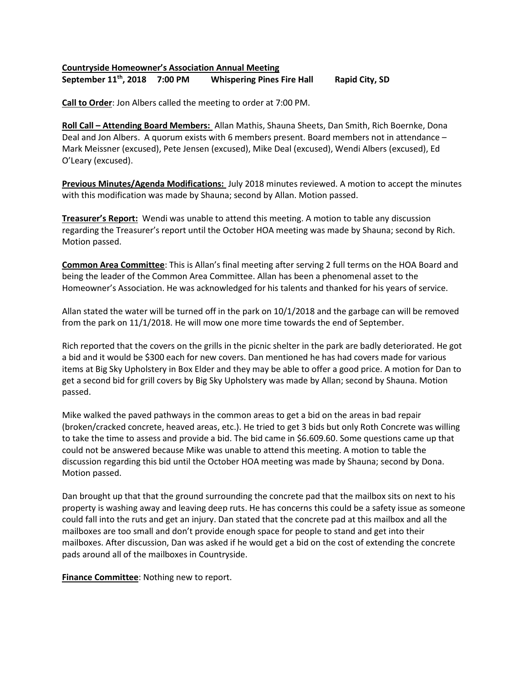## Countryside Homeowner's Association Annual Meeting September 11<sup>th</sup>, 2018 7:00 PM Whispering Pines Fire Hall Rapid City, SD

Call to Order: Jon Albers called the meeting to order at 7:00 PM.

Roll Call – Attending Board Members: Allan Mathis, Shauna Sheets, Dan Smith, Rich Boernke, Dona Deal and Jon Albers. A quorum exists with 6 members present. Board members not in attendance – Mark Meissner (excused), Pete Jensen (excused), Mike Deal (excused), Wendi Albers (excused), Ed O'Leary (excused).

Previous Minutes/Agenda Modifications: July 2018 minutes reviewed. A motion to accept the minutes with this modification was made by Shauna; second by Allan. Motion passed.

Treasurer's Report: Wendi was unable to attend this meeting. A motion to table any discussion regarding the Treasurer's report until the October HOA meeting was made by Shauna; second by Rich. Motion passed.

Common Area Committee: This is Allan's final meeting after serving 2 full terms on the HOA Board and being the leader of the Common Area Committee. Allan has been a phenomenal asset to the Homeowner's Association. He was acknowledged for his talents and thanked for his years of service.

Allan stated the water will be turned off in the park on 10/1/2018 and the garbage can will be removed from the park on 11/1/2018. He will mow one more time towards the end of September.

Rich reported that the covers on the grills in the picnic shelter in the park are badly deteriorated. He got a bid and it would be \$300 each for new covers. Dan mentioned he has had covers made for various items at Big Sky Upholstery in Box Elder and they may be able to offer a good price. A motion for Dan to get a second bid for grill covers by Big Sky Upholstery was made by Allan; second by Shauna. Motion passed.

Mike walked the paved pathways in the common areas to get a bid on the areas in bad repair (broken/cracked concrete, heaved areas, etc.). He tried to get 3 bids but only Roth Concrete was willing to take the time to assess and provide a bid. The bid came in \$6.609.60. Some questions came up that could not be answered because Mike was unable to attend this meeting. A motion to table the discussion regarding this bid until the October HOA meeting was made by Shauna; second by Dona. Motion passed.

Dan brought up that that the ground surrounding the concrete pad that the mailbox sits on next to his property is washing away and leaving deep ruts. He has concerns this could be a safety issue as someone could fall into the ruts and get an injury. Dan stated that the concrete pad at this mailbox and all the mailboxes are too small and don't provide enough space for people to stand and get into their mailboxes. After discussion, Dan was asked if he would get a bid on the cost of extending the concrete pads around all of the mailboxes in Countryside.

**Finance Committee:** Nothing new to report.